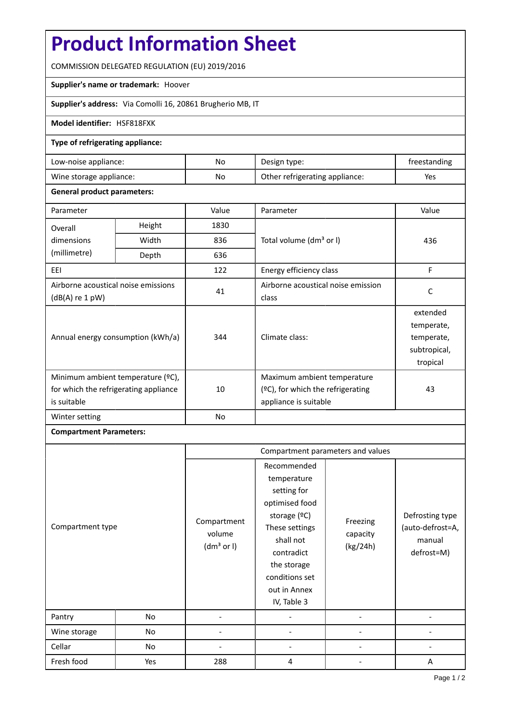# **Product Information Sheet**

COMMISSION DELEGATED REGULATION (EU) 2019/2016

## **Supplier's name or trademark:** Hoover

**Supplier's address:** Via Comolli 16, 20861 Brugherio MB, IT

## **Model identifier:** HSF818FXK

## **Type of refrigerating appliance:**

| Low-noise appliance:    | No | Design type:                   | treestanding |
|-------------------------|----|--------------------------------|--------------|
| Wine storage appliance: | No | Other refrigerating appliance: | Yes          |

#### **General product parameters:**

| Parameter                                                                                 |        | Value          | Parameter                                                                                    | Value                                                            |
|-------------------------------------------------------------------------------------------|--------|----------------|----------------------------------------------------------------------------------------------|------------------------------------------------------------------|
| Overall                                                                                   | Height | 1830           |                                                                                              | 436                                                              |
| dimensions                                                                                | Width  | 836            | Total volume (dm <sup>3</sup> or I)                                                          |                                                                  |
| (millimetre)                                                                              | Depth  | 636            |                                                                                              |                                                                  |
| EEI                                                                                       |        | 122            | Energy efficiency class                                                                      | F                                                                |
| Airborne acoustical noise emissions<br>$(dB(A)$ re 1 pW)                                  |        | 41             | Airborne acoustical noise emission<br>class                                                  | C                                                                |
| Annual energy consumption (kWh/a)                                                         |        | 344            | Climate class:                                                                               | extended<br>temperate,<br>temperate,<br>subtropical,<br>tropical |
| Minimum ambient temperature (°C),<br>for which the refrigerating appliance<br>is suitable |        | 10             | Maximum ambient temperature<br>$(°C)$ , for which the refrigerating<br>appliance is suitable | 43                                                               |
| Winter setting                                                                            |        | N <sub>o</sub> |                                                                                              |                                                                  |

## **Compartment Parameters:**

| Compartment type |     | Compartment parameters and values               |                                                                                                                                                                                          |                                  |                                                             |
|------------------|-----|-------------------------------------------------|------------------------------------------------------------------------------------------------------------------------------------------------------------------------------------------|----------------------------------|-------------------------------------------------------------|
|                  |     | Compartment<br>volume<br>(dm <sup>3</sup> or I) | Recommended<br>temperature<br>setting for<br>optimised food<br>storage (ºC)<br>These settings<br>shall not<br>contradict<br>the storage<br>conditions set<br>out in Annex<br>IV, Table 3 | Freezing<br>capacity<br>(kg/24h) | Defrosting type<br>(auto-defrost=A,<br>manual<br>defrost=M) |
| Pantry           | No  |                                                 |                                                                                                                                                                                          |                                  |                                                             |
| Wine storage     | No  |                                                 |                                                                                                                                                                                          |                                  |                                                             |
| Cellar           | No  |                                                 |                                                                                                                                                                                          |                                  |                                                             |
| Fresh food       | Yes | 288                                             | 4                                                                                                                                                                                        |                                  | A                                                           |